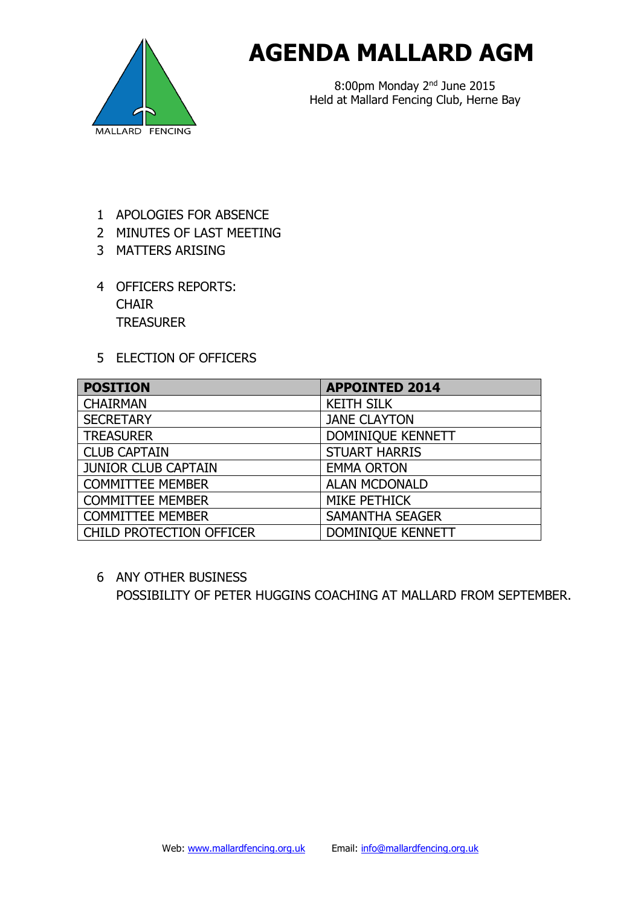

## **AGENDA MALLARD AGM**

8:00pm Monday 2nd June 2015 Held at Mallard Fencing Club, Herne Bay

- 1 APOLOGIES FOR ABSENCE
- 2 MINUTES OF LAST MEETING
- 3 MATTERS ARISING
- 4 OFFICERS REPORTS: **CHAIR TREASURER**
- 5 ELECTION OF OFFICERS

| <b>POSITION</b>            | <b>APPOINTED 2014</b>  |
|----------------------------|------------------------|
| <b>CHAIRMAN</b>            | <b>KEITH SILK</b>      |
| <b>SECRETARY</b>           | <b>JANE CLAYTON</b>    |
| <b>TREASURER</b>           | DOMINIQUE KENNETT      |
| <b>CLUB CAPTAIN</b>        | <b>STUART HARRIS</b>   |
| <b>JUNIOR CLUB CAPTAIN</b> | <b>EMMA ORTON</b>      |
| <b>COMMITTEE MEMBER</b>    | <b>ALAN MCDONALD</b>   |
| <b>COMMITTEE MEMBER</b>    | <b>MIKE PETHICK</b>    |
| <b>COMMITTEE MEMBER</b>    | <b>SAMANTHA SEAGER</b> |
| CHILD PROTECTION OFFICER   | DOMINIQUE KENNETT      |

6 ANY OTHER BUSINESS POSSIBILITY OF PETER HUGGINS COACHING AT MALLARD FROM SEPTEMBER.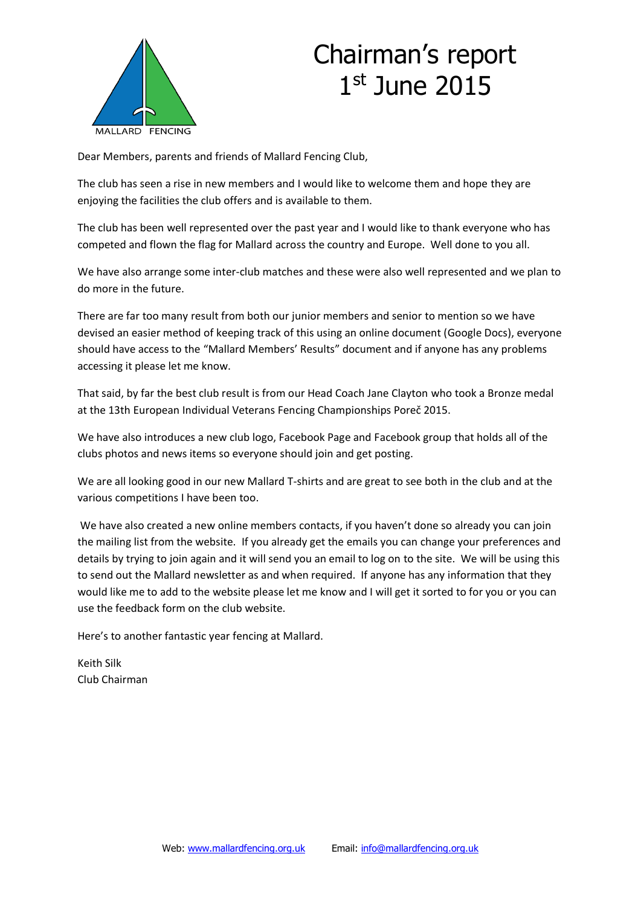

## Chairman's report 1 st June 2015

Dear Members, parents and friends of Mallard Fencing Club,

The club has seen a rise in new members and I would like to welcome them and hope they are enjoying the facilities the club offers and is available to them.

The club has been well represented over the past year and I would like to thank everyone who has competed and flown the flag for Mallard across the country and Europe. Well done to you all.

We have also arrange some inter-club matches and these were also well represented and we plan to do more in the future.

There are far too many result from both our junior members and senior to mention so we have devised an easier method of keeping track of this using an online document (Google Docs), everyone should have access to the "Mallard Members' Results" document and if anyone has any problems accessing it please let me know.

That said, by far the best club result is from our Head Coach Jane Clayton who took a Bronze medal at the 13th European Individual Veterans Fencing Championships Poreč 2015.

We have also introduces a new club logo, Facebook Page and Facebook group that holds all of the clubs photos and news items so everyone should join and get posting.

We are all looking good in our new Mallard T-shirts and are great to see both in the club and at the various competitions I have been too.

We have also created a new online members contacts, if you haven't done so already you can join the mailing list from the website. If you already get the emails you can change your preferences and details by trying to join again and it will send you an email to log on to the site. We will be using this to send out the Mallard newsletter as and when required. If anyone has any information that they would like me to add to the website please let me know and I will get it sorted to for you or you can use the feedback form on the club website.

Here's to another fantastic year fencing at Mallard.

Keith Silk Club Chairman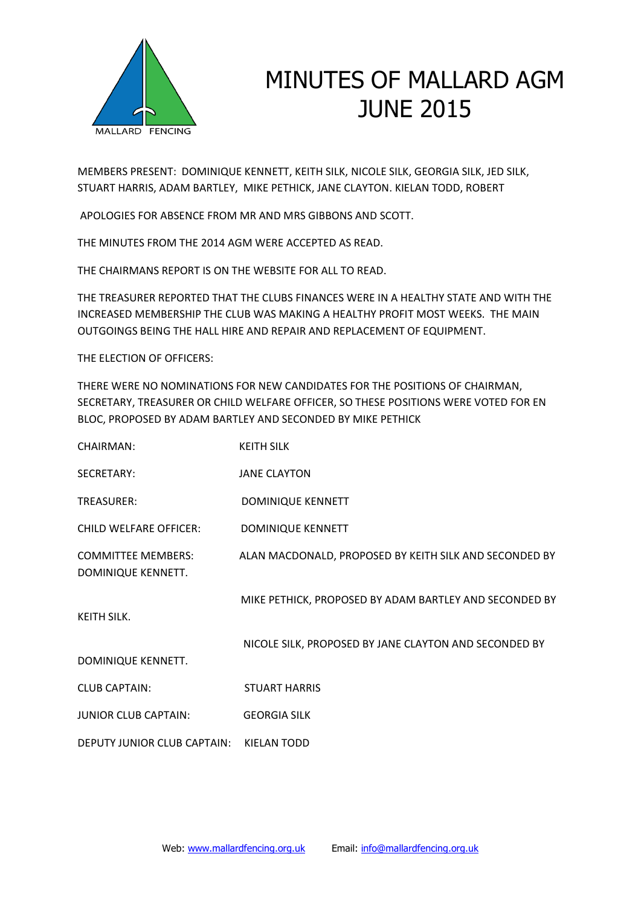

## MINUTES OF MALLARD AGM JUNE 2015

MEMBERS PRESENT: DOMINIQUE KENNETT, KEITH SILK, NICOLE SILK, GEORGIA SILK, JED SILK, STUART HARRIS, ADAM BARTLEY, MIKE PETHICK, JANE CLAYTON. KIELAN TODD, ROBERT

APOLOGIES FOR ABSENCE FROM MR AND MRS GIBBONS AND SCOTT.

THE MINUTES FROM THE 2014 AGM WERE ACCEPTED AS READ.

THE CHAIRMANS REPORT IS ON THE WEBSITE FOR ALL TO READ.

THE TREASURER REPORTED THAT THE CLUBS FINANCES WERE IN A HEALTHY STATE AND WITH THE INCREASED MEMBERSHIP THE CLUB WAS MAKING A HEALTHY PROFIT MOST WEEKS. THE MAIN OUTGOINGS BEING THE HALL HIRE AND REPAIR AND REPLACEMENT OF EQUIPMENT.

THE ELECTION OF OFFICERS:

THERE WERE NO NOMINATIONS FOR NEW CANDIDATES FOR THE POSITIONS OF CHAIRMAN, SECRETARY, TREASURER OR CHILD WELFARE OFFICER, SO THESE POSITIONS WERE VOTED FOR EN BLOC, PROPOSED BY ADAM BARTLEY AND SECONDED BY MIKE PETHICK

| CHAIRMAN:                                       | <b>KEITH SILK</b>                                      |
|-------------------------------------------------|--------------------------------------------------------|
| SECRETARY:                                      | <b>JANE CLAYTON</b>                                    |
| TREASURER:                                      | DOMINIQUE KENNETT                                      |
| <b>CHILD WELFARE OFFICER:</b>                   | DOMINIQUE KENNETT                                      |
| <b>COMMITTEE MEMBERS:</b><br>DOMINIQUE KENNETT. | ALAN MACDONALD, PROPOSED BY KEITH SILK AND SECONDED BY |
| KEITH SILK.                                     | MIKE PETHICK, PROPOSED BY ADAM BARTLEY AND SECONDED BY |
| DOMINIQUE KENNETT.                              | NICOLE SILK, PROPOSED BY JANE CLAYTON AND SECONDED BY  |
| <b>CLUB CAPTAIN:</b>                            | <b>STUART HARRIS</b>                                   |
| <b>JUNIOR CLUB CAPTAIN:</b>                     | <b>GEORGIA SILK</b>                                    |
| DEPUTY JUNIOR CLUB CAPTAIN:                     | <b>KIELAN TODD</b>                                     |